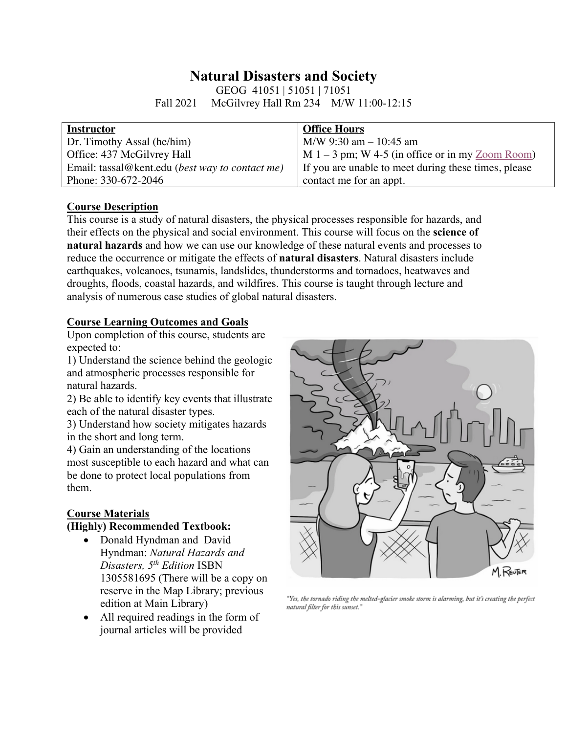# **Natural Disasters and Society**

GEOG 41051 | 51051 | 71051 Fall 2021 McGilvrey Hall Rm 234 M/W 11:00-12:15

| <b>Instructor</b>                               | <b>Office Hours</b>                                  |
|-------------------------------------------------|------------------------------------------------------|
| Dr. Timothy Assal (he/him)                      | $M/W$ 9:30 am $-$ 10:45 am                           |
| Office: 437 McGilvrey Hall                      | $M 1 - 3$ pm; W 4-5 (in office or in my $Zoom$ Room) |
| Email: tassal@kent.edu (best way to contact me) | If you are unable to meet during these times, please |
| Phone: 330-672-2046                             | contact me for an appt.                              |

## **Course Description**

This course is a study of natural disasters, the physical processes responsible for hazards, and their effects on the physical and social environment. This course will focus on the **science of natural hazards** and how we can use our knowledge of these natural events and processes to reduce the occurrence or mitigate the effects of **natural disasters**. Natural disasters include earthquakes, volcanoes, tsunamis, landslides, thunderstorms and tornadoes, heatwaves and droughts, floods, coastal hazards, and wildfires. This course is taught through lecture and analysis of numerous case studies of global natural disasters.

## **Course Learning Outcomes and Goals**

Upon completion of this course, students are expected to:

1) Understand the science behind the geologic and atmospheric processes responsible for natural hazards.

2) Be able to identify key events that illustrate each of the natural disaster types.

3) Understand how society mitigates hazards in the short and long term.

4) Gain an understanding of the locations most susceptible to each hazard and what can be done to protect local populations from them.

# **Course Materials**

#### **(Highly) Recommended Textbook:**

- Donald Hyndman and David Hyndman: *Natural Hazards and Disasters, 5th Edition* ISBN 1305581695 (There will be a copy on reserve in the Map Library; previous edition at Main Library)
- All required readings in the form of journal articles will be provided



"Yes, the tornado riding the melted-glacier smoke storm is alarming, but it's creating the perfect natural filter for this sunset."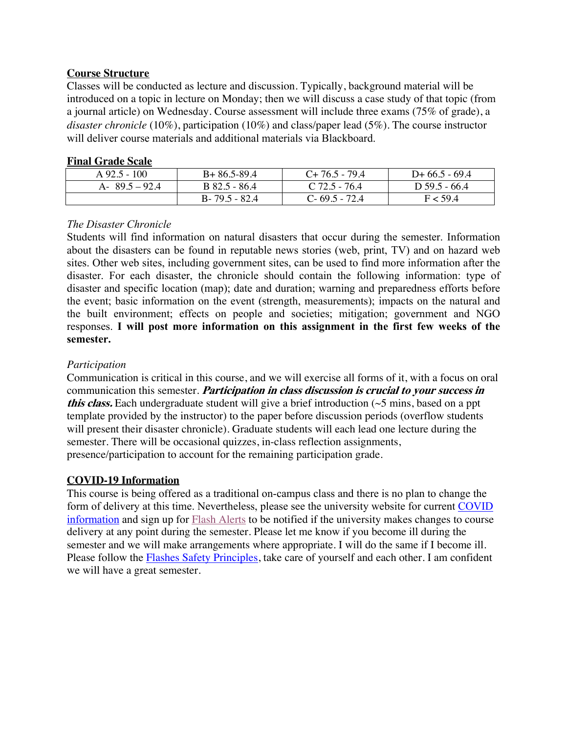## **Course Structure**

Classes will be conducted as lecture and discussion. Typically, background material will be introduced on a topic in lecture on Monday; then we will discuss a case study of that topic (from a journal article) on Wednesday. Course assessment will include three exams (75% of grade), a *disaster chronicle* (10%), participation (10%) and class/paper lead (5%). The course instructor will deliver course materials and additional materials via Blackboard.

## **Final Grade Scale**

| $A\,92.5 - 100$  | $B+86.5-89.4$     | $C+76.5-79.4$     | $D+66.5-69.4$   |
|------------------|-------------------|-------------------|-----------------|
| A- $89.5 - 92.4$ | B 82.5 - 86.4     | $C$ 72.5 - 76.4   | D $59.5 - 66.4$ |
|                  | $B - 79.5 - 82.4$ | $C - 69.5 - 72.4$ | F < 59 4        |

# *The Disaster Chronicle*

Students will find information on natural disasters that occur during the semester. Information about the disasters can be found in reputable news stories (web, print, TV) and on hazard web sites. Other web sites, including government sites, can be used to find more information after the disaster. For each disaster, the chronicle should contain the following information: type of disaster and specific location (map); date and duration; warning and preparedness efforts before the event; basic information on the event (strength, measurements); impacts on the natural and the built environment; effects on people and societies; mitigation; government and NGO responses. **I will post more information on this assignment in the first few weeks of the semester.** 

# *Participation*

Communication is critical in this course, and we will exercise all forms of it, with a focus on oral communication this semester. **Participation in class discussion is crucial to your success in this class.** Each undergraduate student will give a brief introduction (~5 mins, based on a ppt template provided by the instructor) to the paper before discussion periods (overflow students will present their disaster chronicle). Graduate students will each lead one lecture during the semester. There will be occasional quizzes, in-class reflection assignments, presence/participation to account for the remaining participation grade.

## **COVID-19 Information**

This course is being offered as a traditional on-campus class and there is no plan to change the form of delivery at this time. Nevertheless, please see the university website for current COVID information and sign up for Flash Alerts to be notified if the university makes changes to course delivery at any point during the semester. Please let me know if you become ill during the semester and we will make arrangements where appropriate. I will do the same if I become ill. Please follow the **Flashes Safety Principles**, take care of yourself and each other. I am confident we will have a great semester.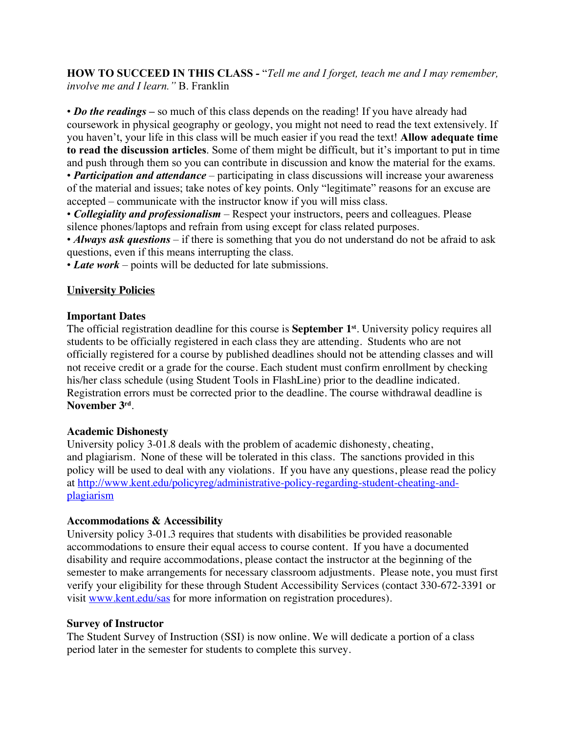**HOW TO SUCCEED IN THIS CLASS** *-* "*Tell me and I forget, teach me and I may remember, involve me and I learn."* B. Franklin

• *Do the readings* – so much of this class depends on the reading! If you have already had coursework in physical geography or geology, you might not need to read the text extensively. If you haven't, your life in this class will be much easier if you read the text! **Allow adequate time to read the discussion articles**. Some of them might be difficult, but it's important to put in time and push through them so you can contribute in discussion and know the material for the exams.

• *Participation and attendance* – participating in class discussions will increase your awareness of the material and issues; take notes of key points. Only "legitimate" reasons for an excuse are accepted – communicate with the instructor know if you will miss class.

• *Collegiality and professionalism* – Respect your instructors, peers and colleagues. Please silence phones/laptops and refrain from using except for class related purposes.

• *Always ask questions* – if there is something that you do not understand do not be afraid to ask questions, even if this means interrupting the class.

• *Late work* – points will be deducted for late submissions.

## **University Policies**

#### **Important Dates**

The official registration deadline for this course is **September 1st**. University policy requires all students to be officially registered in each class they are attending. Students who are not officially registered for a course by published deadlines should not be attending classes and will not receive credit or a grade for the course. Each student must confirm enrollment by checking his/her class schedule (using Student Tools in FlashLine) prior to the deadline indicated. Registration errors must be corrected prior to the deadline. The course withdrawal deadline is **November 3rd**.

#### **Academic Dishonesty**

University policy 3-01.8 deals with the problem of academic dishonesty, cheating, and plagiarism. None of these will be tolerated in this class. The sanctions provided in this policy will be used to deal with any violations. If you have any questions, please read the policy at http://www.kent.edu/policyreg/administrative-policy-regarding-student-cheating-andplagiarism

## **Accommodations & Accessibility**

University policy 3-01.3 requires that students with disabilities be provided reasonable accommodations to ensure their equal access to course content. If you have a documented disability and require accommodations, please contact the instructor at the beginning of the semester to make arrangements for necessary classroom adjustments. Please note, you must first verify your eligibility for these through Student Accessibility Services (contact 330-672-3391 or visit www.kent.edu/sas for more information on registration procedures).

#### **Survey of Instructor**

The Student Survey of Instruction (SSI) is now online. We will dedicate a portion of a class period later in the semester for students to complete this survey.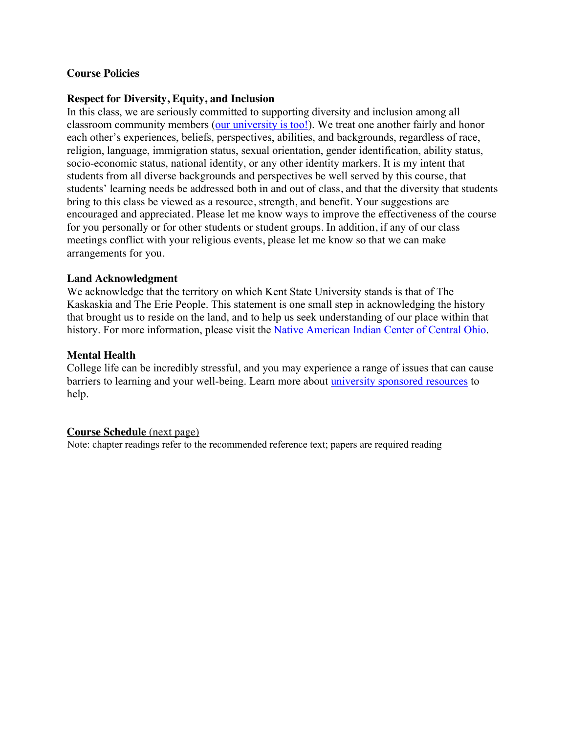## **Course Policies**

#### **Respect for Diversity, Equity, and Inclusion**

In this class, we are seriously committed to supporting diversity and inclusion among all classroom community members (our university is too!). We treat one another fairly and honor each other's experiences, beliefs, perspectives, abilities, and backgrounds, regardless of race, religion, language, immigration status, sexual orientation, gender identification, ability status, socio-economic status, national identity, or any other identity markers. It is my intent that students from all diverse backgrounds and perspectives be well served by this course, that students' learning needs be addressed both in and out of class, and that the diversity that students bring to this class be viewed as a resource, strength, and benefit. Your suggestions are encouraged and appreciated. Please let me know ways to improve the effectiveness of the course for you personally or for other students or student groups. In addition, if any of our class meetings conflict with your religious events, please let me know so that we can make arrangements for you.

#### **Land Acknowledgment**

We acknowledge that the territory on which Kent State University stands is that of The Kaskaskia and The Erie People. This statement is one small step in acknowledging the history that brought us to reside on the land, and to help us seek understanding of our place within that history. For more information, please visit the Native American Indian Center of Central Ohio.

#### **Mental Health**

College life can be incredibly stressful, and you may experience a range of issues that can cause barriers to learning and your well-being. Learn more about university sponsored resources to help.

#### **Course Schedule** (next page)

Note: chapter readings refer to the recommended reference text; papers are required reading